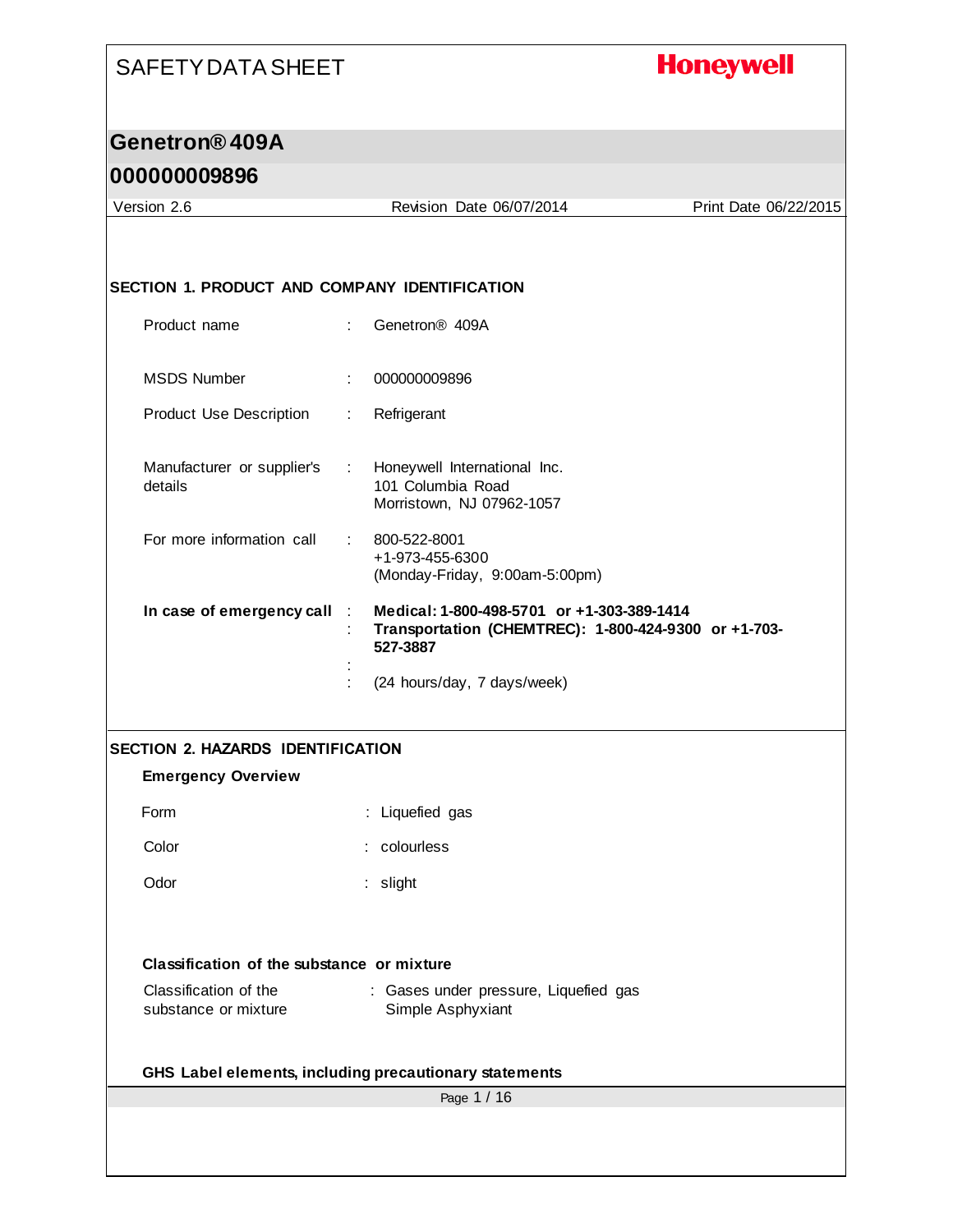# **Honeywell**

## **Genetron® 409A**

| Version 2.6                                   | Revision Date 06/07/2014                                                                                       | Print Date 06/22/2015 |
|-----------------------------------------------|----------------------------------------------------------------------------------------------------------------|-----------------------|
|                                               |                                                                                                                |                       |
|                                               |                                                                                                                |                       |
| SECTION 1. PRODUCT AND COMPANY IDENTIFICATION |                                                                                                                |                       |
| Product name                                  | Genetron <sup>®</sup> 409A                                                                                     |                       |
| <b>MSDS Number</b>                            | 000000009896<br>÷.                                                                                             |                       |
| Product Use Description                       | Refrigerant<br>÷.                                                                                              |                       |
| Manufacturer or supplier's<br>details         | Honeywell International Inc.<br>$\sim 100$<br>101 Columbia Road<br>Morristown, NJ 07962-1057                   |                       |
| For more information call                     | 800-522-8001<br>+1-973-455-6300<br>(Monday-Friday, 9:00am-5:00pm)                                              |                       |
| In case of emergency call                     | Medical: 1-800-498-5701 or +1-303-389-1414<br>Transportation (CHEMTREC): 1-800-424-9300 or +1-703-<br>527-3887 |                       |
|                                               | (24 hours/day, 7 days/week)                                                                                    |                       |
|                                               |                                                                                                                |                       |
| <b>SECTION 2. HAZARDS IDENTIFICATION</b>      |                                                                                                                |                       |
| <b>Emergency Overview</b>                     |                                                                                                                |                       |
| Form                                          | : Liquefied gas                                                                                                |                       |
| Color                                         | : colourless                                                                                                   |                       |
| Odor                                          | : slight                                                                                                       |                       |
|                                               |                                                                                                                |                       |
|                                               |                                                                                                                |                       |
| Classification of the substance or mixture    |                                                                                                                |                       |
| Classification of the<br>substance or mixture | : Gases under pressure, Liquefied gas<br>Simple Asphyxiant                                                     |                       |
|                                               | GHS Label elements, including precautionary statements                                                         |                       |
|                                               | Page 1 / 16                                                                                                    |                       |
|                                               |                                                                                                                |                       |
|                                               |                                                                                                                |                       |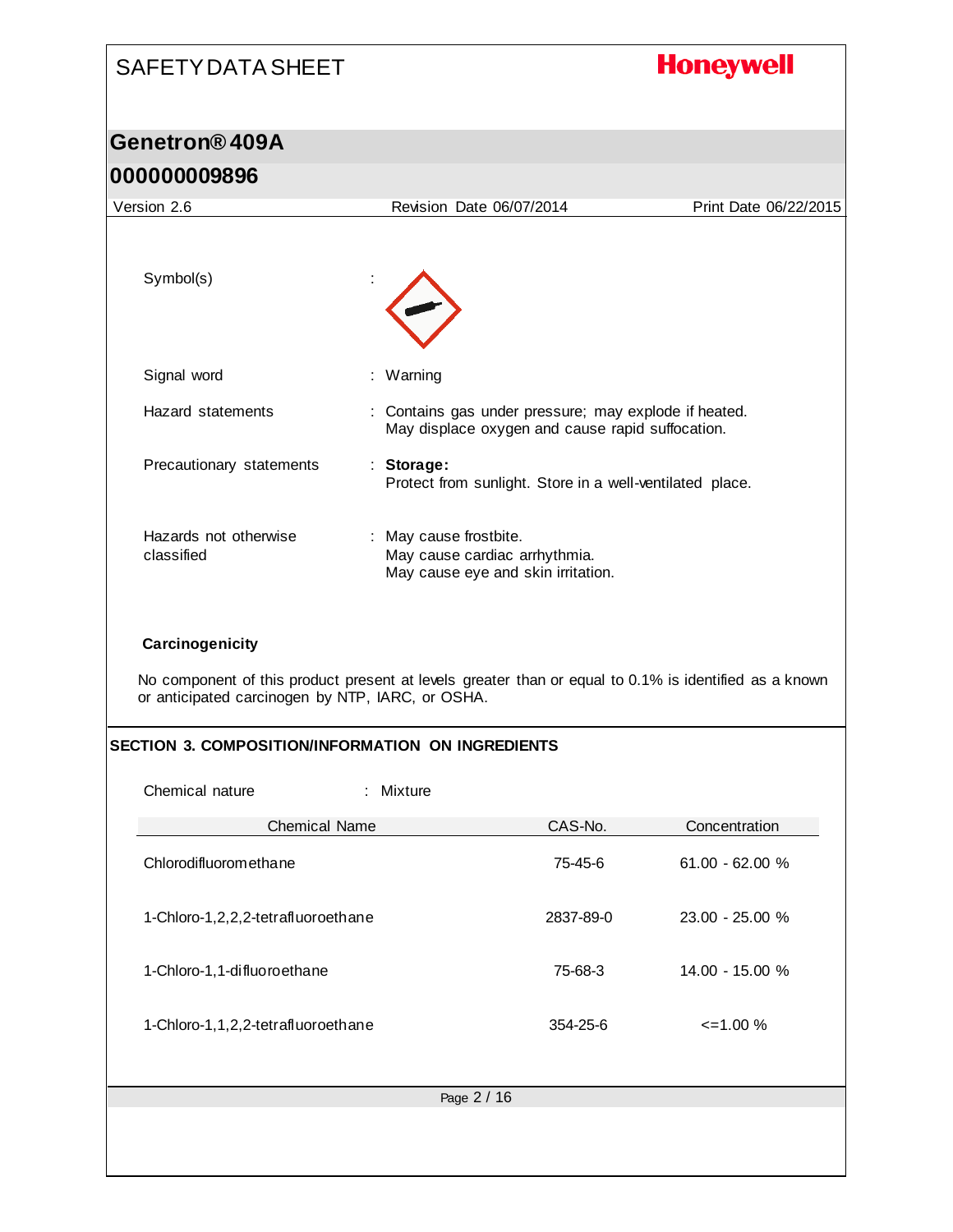# SAFETY DATA SHEET **Honeywell Genetron® 409A 000000009896** Version 2.6 Revision Date 06/07/2014 Print Date 06/22/2015 Symbol(s) Signal word : Warning Hazard statements : Contains gas under pressure; may explode if heated. May displace oxygen and cause rapid suffocation. Precautionary statements : **Storage:**  Protect from sunlight. Store in a well-ventilated place. Hazards not otherwise : May cause frostbite. classified May cause cardiac arrhythmia. May cause eye and skin irritation. **Carcinogenicity** No component of this product present at levels greater than or equal to 0.1% is identified as a known or anticipated carcinogen by NTP, IARC, or OSHA. **SECTION 3. COMPOSITION/INFORMATION ON INGREDIENTS** Chemical nature : Mixture Chemical Name CAS-No. CAS-No. Concentration Chlorodifluoromethane 75-45-6 61.00 - 62.00 % 1-Chloro-1,2,2,2-tetrafluoroethane 2837-89-0 23.00 - 25.00 % 1-Chloro-1,1-difluoroethane 75-68-3 14.00 - 15.00 % 1-Chloro-1,1,2,2-tetrafluoroethane 354-25-6 <=1.00 %Page 2 / 16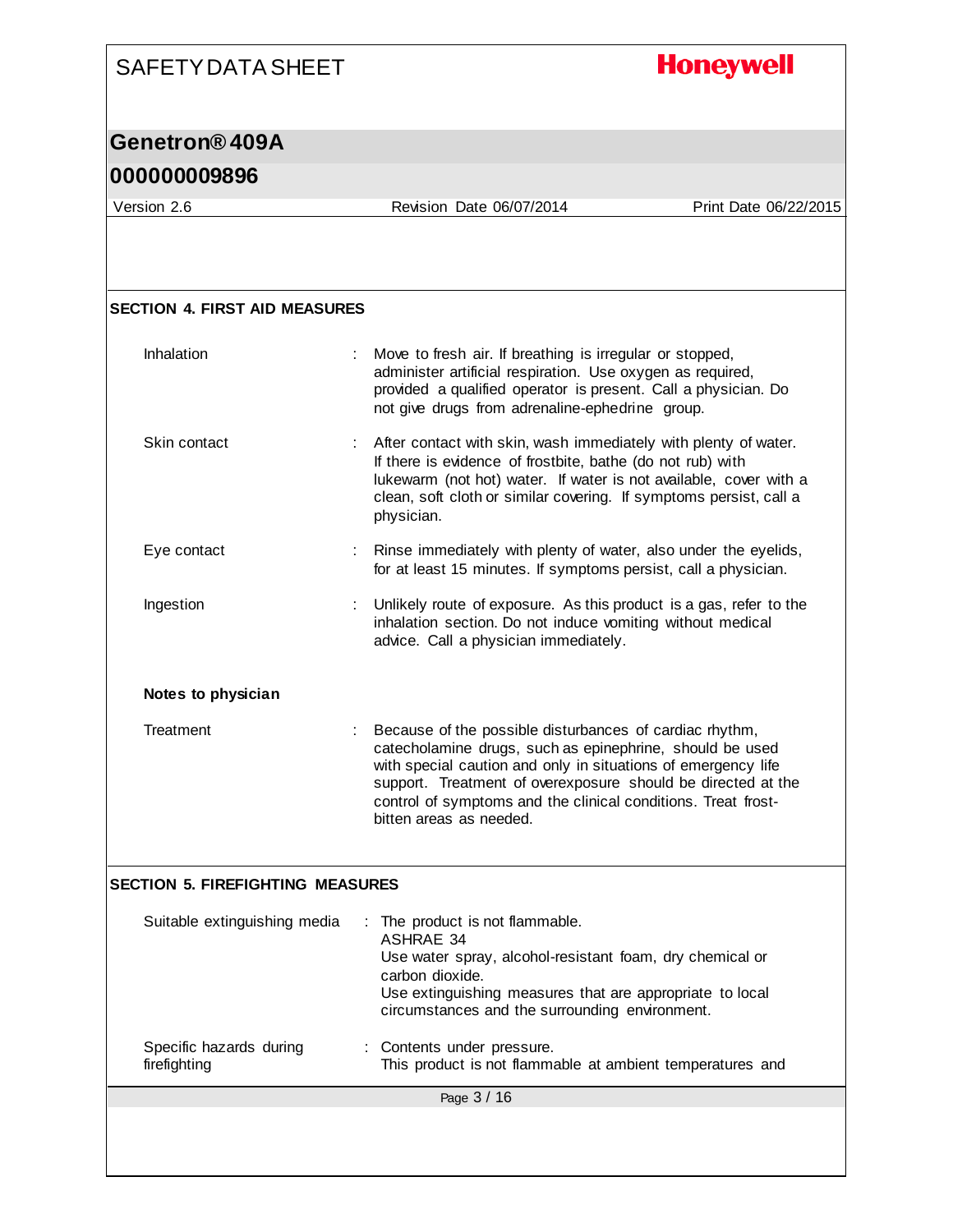# **Honeywell**

## **Genetron® 409A**

| Version 2.6                             | Revision Date 06/07/2014                                                                                                                                                                                                                                                                                                                         | Print Date 06/22/2015 |
|-----------------------------------------|--------------------------------------------------------------------------------------------------------------------------------------------------------------------------------------------------------------------------------------------------------------------------------------------------------------------------------------------------|-----------------------|
|                                         |                                                                                                                                                                                                                                                                                                                                                  |                       |
|                                         |                                                                                                                                                                                                                                                                                                                                                  |                       |
| <b>SECTION 4. FIRST AID MEASURES</b>    |                                                                                                                                                                                                                                                                                                                                                  |                       |
|                                         |                                                                                                                                                                                                                                                                                                                                                  |                       |
| Inhalation                              | Move to fresh air. If breathing is irregular or stopped,<br>administer artificial respiration. Use oxygen as required,<br>provided a qualified operator is present. Call a physician. Do<br>not give drugs from adrenaline-ephedrine group.                                                                                                      |                       |
| Skin contact                            | : After contact with skin, wash immediately with plenty of water.<br>If there is evidence of frostbite, bathe (do not rub) with<br>lukewarm (not hot) water. If water is not available, cover with a<br>clean, soft cloth or similar covering. If symptoms persist, call a<br>physician.                                                         |                       |
| Eye contact                             | Rinse immediately with plenty of water, also under the eyelids,<br>for at least 15 minutes. If symptoms persist, call a physician.                                                                                                                                                                                                               |                       |
| Ingestion                               | Unlikely route of exposure. As this product is a gas, refer to the<br>inhalation section. Do not induce vomiting without medical<br>advice. Call a physician immediately.                                                                                                                                                                        |                       |
| Notes to physician                      |                                                                                                                                                                                                                                                                                                                                                  |                       |
| Treatment                               | Because of the possible disturbances of cardiac rhythm,<br>catecholamine drugs, such as epinephrine, should be used<br>with special caution and only in situations of emergency life<br>support. Treatment of overexposure should be directed at the<br>control of symptoms and the clinical conditions. Treat frost-<br>bitten areas as needed. |                       |
| <b>SECTION 5. FIREFIGHTING MEASURES</b> |                                                                                                                                                                                                                                                                                                                                                  |                       |
| Suitable extinguishing media            | The product is not flammable.<br>÷<br><b>ASHRAE 34</b><br>Use water spray, alcohol-resistant foam, dry chemical or<br>carbon dioxide.<br>Use extinguishing measures that are appropriate to local<br>circumstances and the surrounding environment.                                                                                              |                       |
| Specific hazards during<br>firefighting | Contents under pressure.<br>This product is not flammable at ambient temperatures and                                                                                                                                                                                                                                                            |                       |
|                                         | Page 3 / 16                                                                                                                                                                                                                                                                                                                                      |                       |
|                                         |                                                                                                                                                                                                                                                                                                                                                  |                       |
|                                         |                                                                                                                                                                                                                                                                                                                                                  |                       |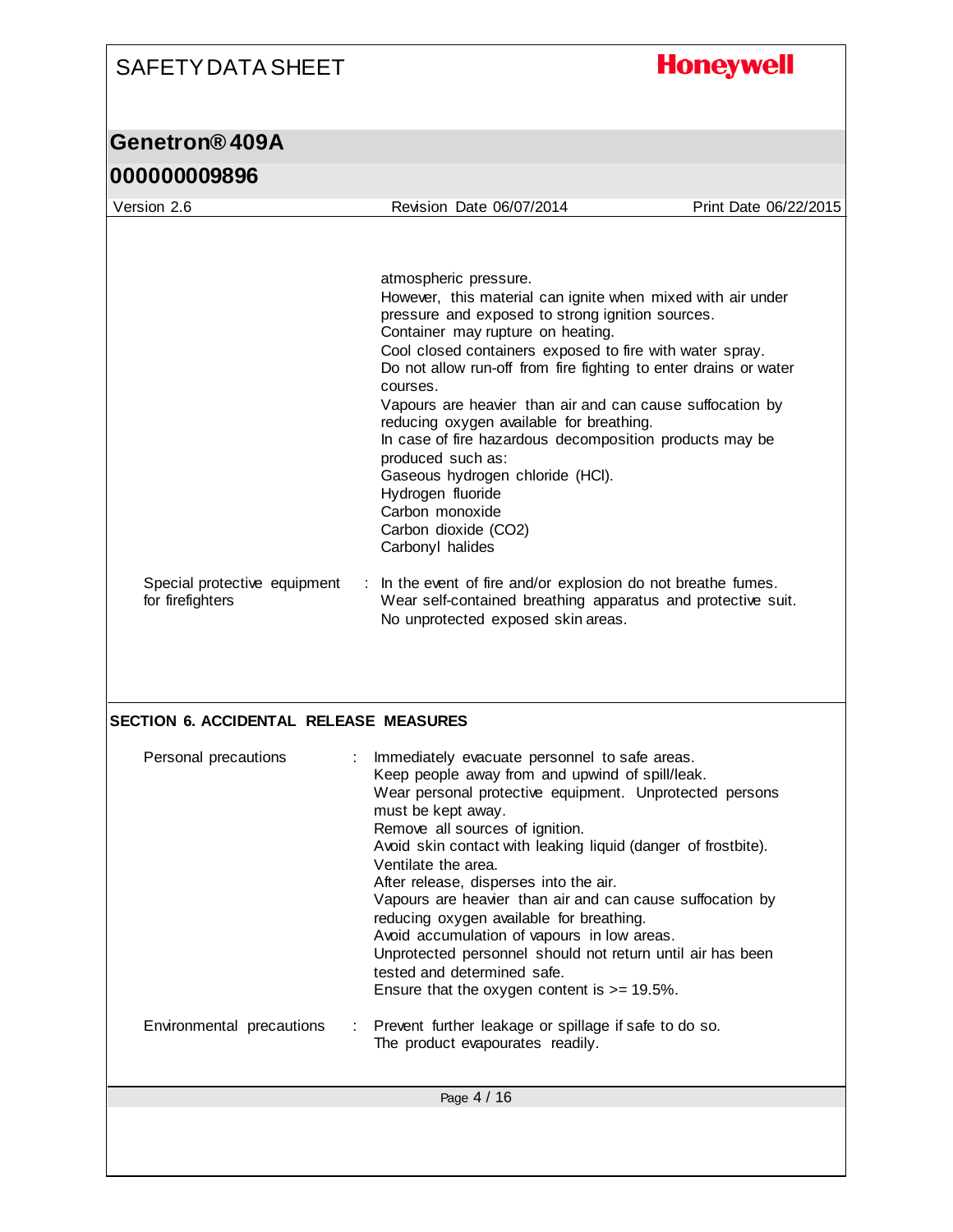**Honeywell** 

### **Genetron® 409A**

#### **000000009896** Page 4 / 16 Version 2.6 Revision Date 06/07/2014 Print Date 06/22/2015 atmospheric pressure. However, this material can ignite when mixed with air under pressure and exposed to strong ignition sources. Container may rupture on heating. Cool closed containers exposed to fire with water spray. Do not allow run-off from fire fighting to enter drains or water courses. Vapours are heavier than air and can cause suffocation by reducing oxygen available for breathing. In case of fire hazardous decomposition products may be produced such as: Gaseous hydrogen chloride (HCl). Hydrogen fluoride Carbon monoxide Carbon dioxide (CO2) Carbonyl halides Special protective equipment for firefighters : In the event of fire and/or explosion do not breathe fumes. Wear self-contained breathing apparatus and protective suit. No unprotected exposed skin areas. **SECTION 6. ACCIDENTAL RELEASE MEASURES** Personal precautions : Immediately evacuate personnel to safe areas. Keep people away from and upwind of spill/leak. Wear personal protective equipment. Unprotected persons must be kept away. Remove all sources of ignition. Avoid skin contact with leaking liquid (danger of frostbite). Ventilate the area. After release, disperses into the air. Vapours are heavier than air and can cause suffocation by reducing oxygen available for breathing. Avoid accumulation of vapours in low areas. Unprotected personnel should not return until air has been tested and determined safe. Ensure that the oxygen content is  $>= 19.5\%$ . Environmental precautions : Prevent further leakage or spillage if safe to do so. The product evapourates readily.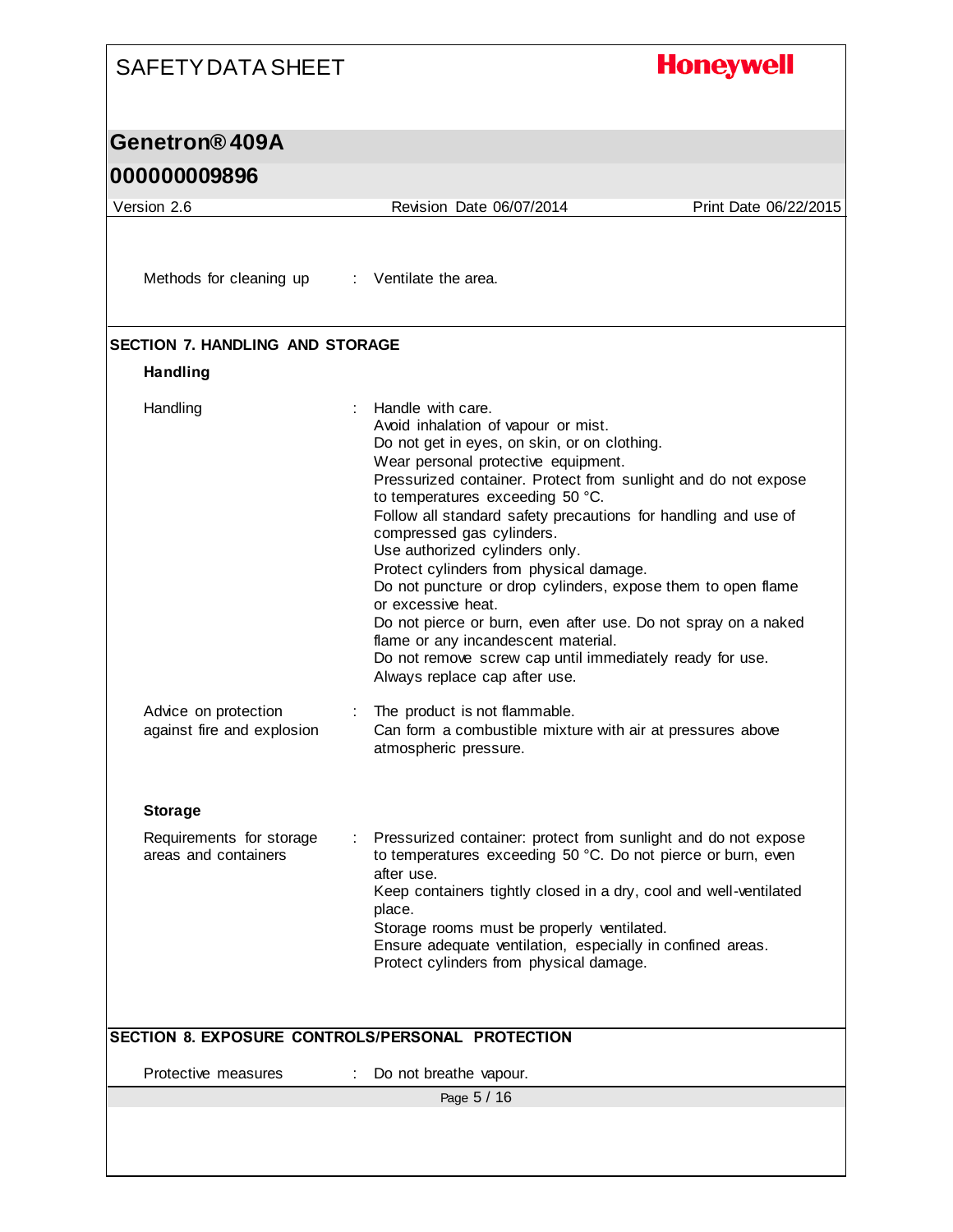#### **Honeywell** SAFETY DATA SHEET **Genetron® 409A 000000009896** Version 2.6 Revision Date 06/07/2014 Print Date 06/22/2015 Methods for cleaning up : Ventilate the area. **SECTION 7. HANDLING AND STORAGE Handling** Handling : Handle with care. Avoid inhalation of vapour or mist. Do not get in eyes, on skin, or on clothing. Wear personal protective equipment. Pressurized container. Protect from sunlight and do not expose to temperatures exceeding 50 °C. Follow all standard safety precautions for handling and use of compressed gas cylinders. Use authorized cylinders only. Protect cylinders from physical damage. Do not puncture or drop cylinders, expose them to open flame or excessive heat. Do not pierce or burn, even after use. Do not spray on a naked flame or any incandescent material. Do not remove screw cap until immediately ready for use. Always replace cap after use. Advice on protection : The product is not flammable. against fire and explosion Can form a combustible mixture with air at pressures above atmospheric pressure. **Storage** Requirements for storage : Pressurized container: protect from sunlight and do not expose areas and containers to temperatures exceeding 50 °C. Do not pierce or burn, even after use. Keep containers tightly closed in a dry, cool and well-ventilated place. Storage rooms must be properly ventilated. Ensure adequate ventilation, especially in confined areas. Protect cylinders from physical damage.

|                     | ISECTION 8. EXPOSURE CONTROLS/PERSONAL PROTECTION |  |
|---------------------|---------------------------------------------------|--|
| Protective measures | : Do not breathe vapour.                          |  |
|                     | Page 5 / 16                                       |  |
|                     |                                                   |  |
|                     |                                                   |  |

**SECTION 8. EXPOSURE CONTROLS/PERSONAL PROTECTION**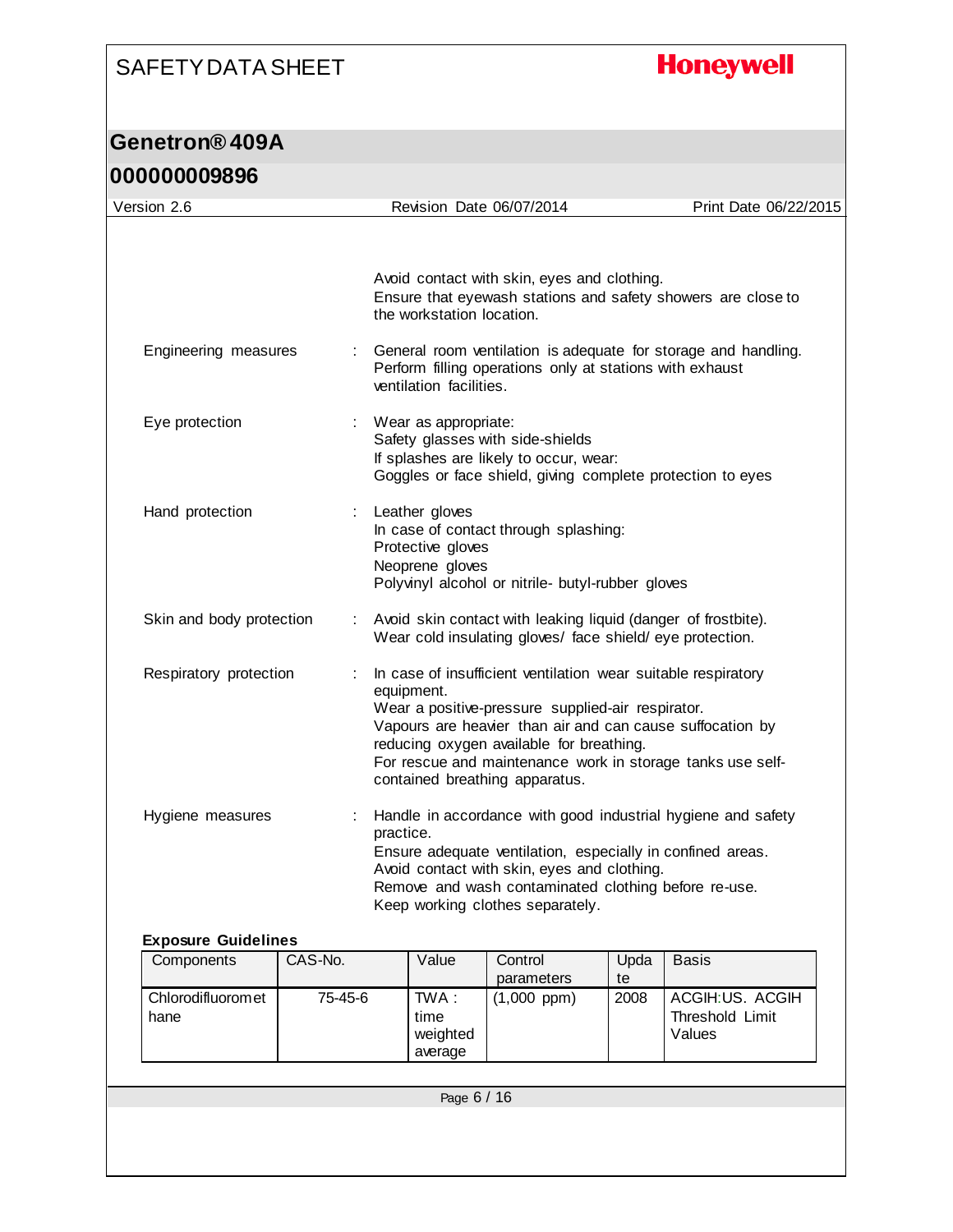# **Honeywell**

## **Genetron® 409A**

| 000000009896 |
|--------------|
|--------------|

| Version 2.6              |   | Revision Date 06/07/2014                                                                                                                                                                                                                                                                                                                  | Print Date 06/22/2015 |
|--------------------------|---|-------------------------------------------------------------------------------------------------------------------------------------------------------------------------------------------------------------------------------------------------------------------------------------------------------------------------------------------|-----------------------|
|                          |   |                                                                                                                                                                                                                                                                                                                                           |                       |
|                          |   | Avoid contact with skin, eyes and clothing.<br>Ensure that eyewash stations and safety showers are close to<br>the workstation location.                                                                                                                                                                                                  |                       |
| Engineering measures     |   | General room ventilation is adequate for storage and handling.<br>Perform filling operations only at stations with exhaust<br>ventilation facilities.                                                                                                                                                                                     |                       |
| Eye protection           |   | Wear as appropriate:<br>Safety glasses with side-shields<br>If splashes are likely to occur, wear:<br>Goggles or face shield, giving complete protection to eyes                                                                                                                                                                          |                       |
| Hand protection          |   | Leather gloves<br>In case of contact through splashing:<br>Protective gloves<br>Neoprene gloves<br>Polyvinyl alcohol or nitrile- butyl-rubber gloves                                                                                                                                                                                      |                       |
| Skin and body protection | ÷ | Avoid skin contact with leaking liquid (danger of frostbite).<br>Wear cold insulating gloves/ face shield/ eye protection.                                                                                                                                                                                                                |                       |
| Respiratory protection   |   | In case of insufficient ventilation wear suitable respiratory<br>equipment.<br>Wear a positive-pressure supplied-air respirator.<br>Vapours are heavier than air and can cause suffocation by<br>reducing oxygen available for breathing.<br>For rescue and maintenance work in storage tanks use self-<br>contained breathing apparatus. |                       |
| Hygiene measures         |   | Handle in accordance with good industrial hygiene and safety<br>practice.<br>Ensure adequate ventilation, especially in confined areas.<br>Avoid contact with skin, eyes and clothing.<br>Remove and wash contaminated clothing before re-use.<br>Keep working clothes separately.                                                        |                       |

#### **Exposure Guidelines**

| Components                | CAS-No. | Value                                | Control       | Upda | <b>Basis</b>                                 |  |
|---------------------------|---------|--------------------------------------|---------------|------|----------------------------------------------|--|
|                           |         |                                      | parameters    | te   |                                              |  |
| Chlorodifluoromet<br>hane | 75-45-6 | TWA :<br>time<br>weighted<br>average | $(1,000$ ppm) | 2008 | ACGIH:US. ACGIH<br>Threshold Limit<br>Values |  |
|                           |         |                                      |               |      |                                              |  |
| Page 6 / 16               |         |                                      |               |      |                                              |  |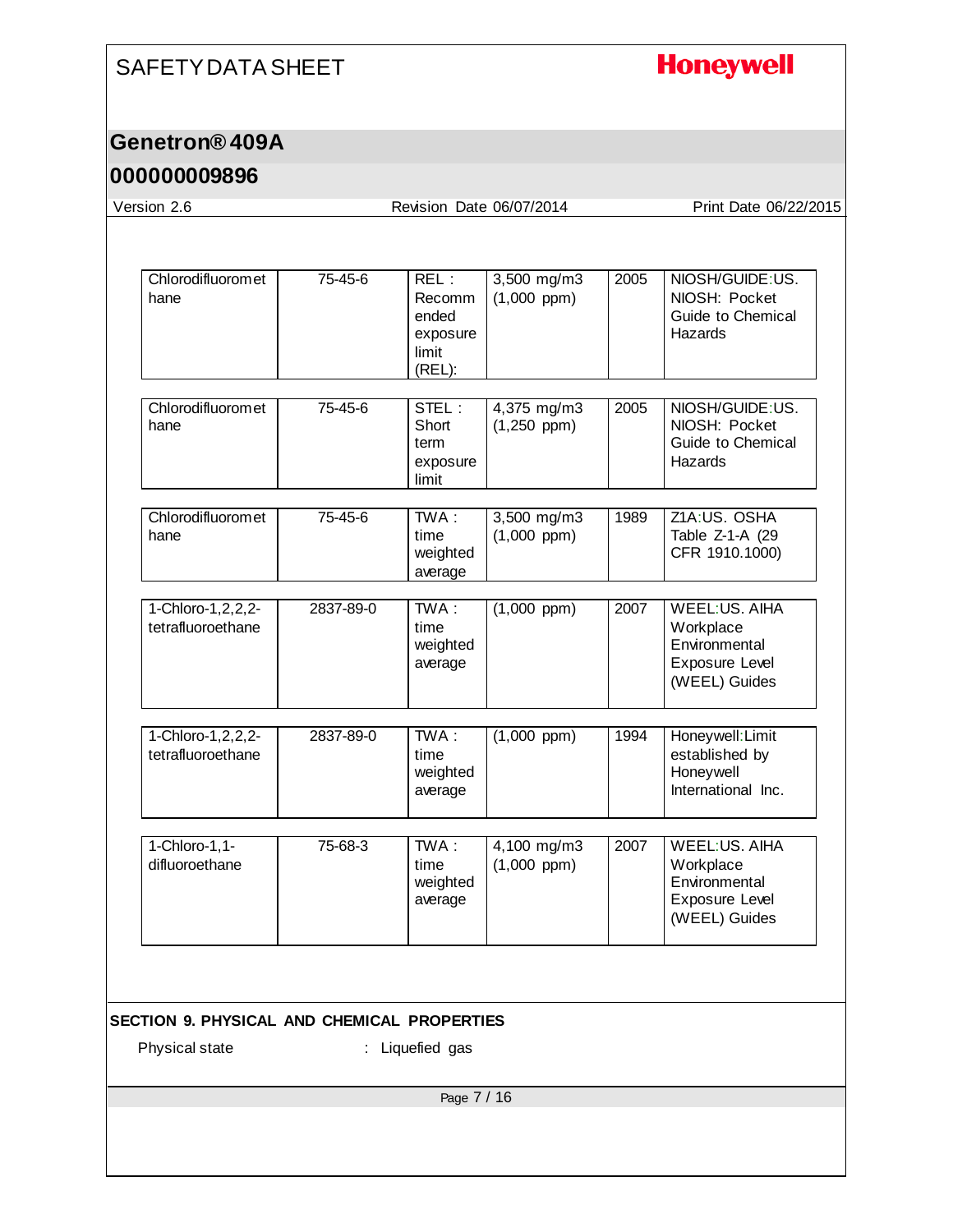# **Honeywell**

## **Genetron® 409A**

| Version 2.6                                                   |               | Revision Date 06/07/2014                                      |                                 |      | Print Date 06/22/2015                                                                        |
|---------------------------------------------------------------|---------------|---------------------------------------------------------------|---------------------------------|------|----------------------------------------------------------------------------------------------|
|                                                               |               |                                                               |                                 |      |                                                                                              |
| Chlorodifluoromet<br>hane                                     | 75-45-6       | REL:<br><b>Recomm</b><br>ended<br>exposure<br>limit<br>(REL): | 3,500 mg/m3<br>$(1,000$ ppm $)$ | 2005 | NIOSH/GUIDE:US.<br>NIOSH: Pocket<br>Guide to Chemical<br>Hazards                             |
| Chlorodifluoromet<br>hane                                     | $75 - 45 - 6$ | STEL:<br>Short<br>term<br>exposure<br>limit                   | 4,375 mg/m3<br>$(1,250$ ppm)    | 2005 | NIOSH/GUIDE:US.<br>NIOSH: Pocket<br>Guide to Chemical<br>Hazards                             |
| Chlorodifluoromet<br>hane                                     | 75-45-6       | TWA:<br>time<br>weighted<br>average                           | 3,500 mg/m3<br>$(1,000$ ppm)    | 1989 | Z1A:US. OSHA<br>Table Z-1-A (29<br>CFR 1910.1000)                                            |
| 1-Chloro-1, 2, 2, 2-<br>tetrafluoroethane                     | 2837-89-0     | TWA:<br>time<br>weighted<br>average                           | $(1,000$ ppm)                   | 2007 | <b>WEEL:US, AIHA</b><br>Workplace<br>Environmental<br>Exposure Level<br>(WEEL) Guides        |
| 1-Chloro-1, 2, 2, 2-<br>tetrafluoroethane                     | 2837-89-0     | $\overline{T}WA$ :<br>time<br>weighted<br>average             | $(1,000$ ppm)                   | 1994 | Honeywell: Limit<br>established by<br>Honeywell<br>International Inc.                        |
| 1-Chloro-1,1-<br>difluoroethane                               | 75-68-3       | $\overline{\text{TWA}}$ :<br>time<br>weighted<br>average      | 4,100 mg/m3<br>$(1,000$ ppm $)$ | 2007 | <b>WEEL:US. AIHA</b><br>Workplace<br>Environmental<br><b>Exposure Level</b><br>(WEEL) Guides |
|                                                               |               |                                                               |                                 |      |                                                                                              |
| SECTION 9. PHYSICAL AND CHEMICAL PROPERTIES<br>Physical state |               | : Liquefied gas                                               |                                 |      |                                                                                              |
|                                                               |               |                                                               |                                 |      |                                                                                              |
|                                                               |               | Page 7 / 16                                                   |                                 |      |                                                                                              |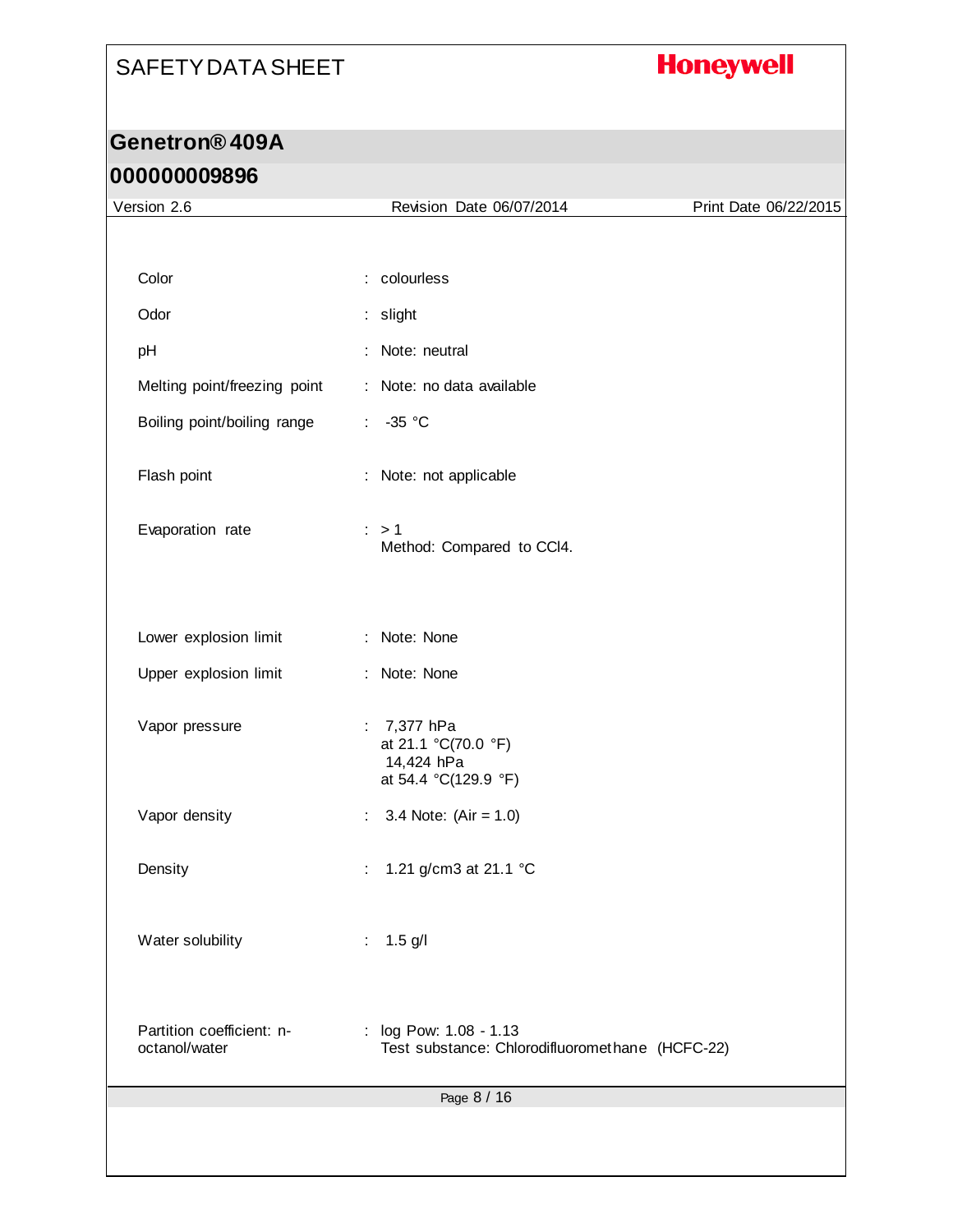# **Honeywell**

## **Genetron® 409A 000000009896**

| Version 2.6                                | Revision Date 06/07/2014                                                     | Print Date 06/22/2015 |
|--------------------------------------------|------------------------------------------------------------------------------|-----------------------|
|                                            |                                                                              |                       |
| Color                                      | : colourless                                                                 |                       |
| Odor                                       | : slight                                                                     |                       |
| pH                                         | Note: neutral                                                                |                       |
| Melting point/freezing point               | Note: no data available<br>÷                                                 |                       |
| Boiling point/boiling range                | $-35$ °C<br>$\mathcal{L}_{\mathcal{A}}$                                      |                       |
| Flash point                                | Note: not applicable<br>t.                                                   |                       |
| Evaporation rate                           | $\therefore$ > 1<br>Method: Compared to CCI4.                                |                       |
| Lower explosion limit                      | : Note: None                                                                 |                       |
| Upper explosion limit                      | : Note: None                                                                 |                       |
| Vapor pressure                             | 7,377 hPa<br>÷.<br>at 21.1 °C(70.0 °F)<br>14,424 hPa<br>at 54.4 °C(129.9 °F) |                       |
| Vapor density                              | 3.4 Note: $(Air = 1.0)$<br>÷                                                 |                       |
| Density                                    | 1.21 g/cm3 at 21.1 °C<br>t.                                                  |                       |
| Water solubility                           | : $1.5$ g/l                                                                  |                       |
| Partition coefficient: n-<br>octanol/water | log Pow: 1.08 - 1.13<br>÷<br>Test substance: Chlorodifluoromethane (HCFC-22) |                       |
|                                            | Page 8 / 16                                                                  |                       |
|                                            |                                                                              |                       |
|                                            |                                                                              |                       |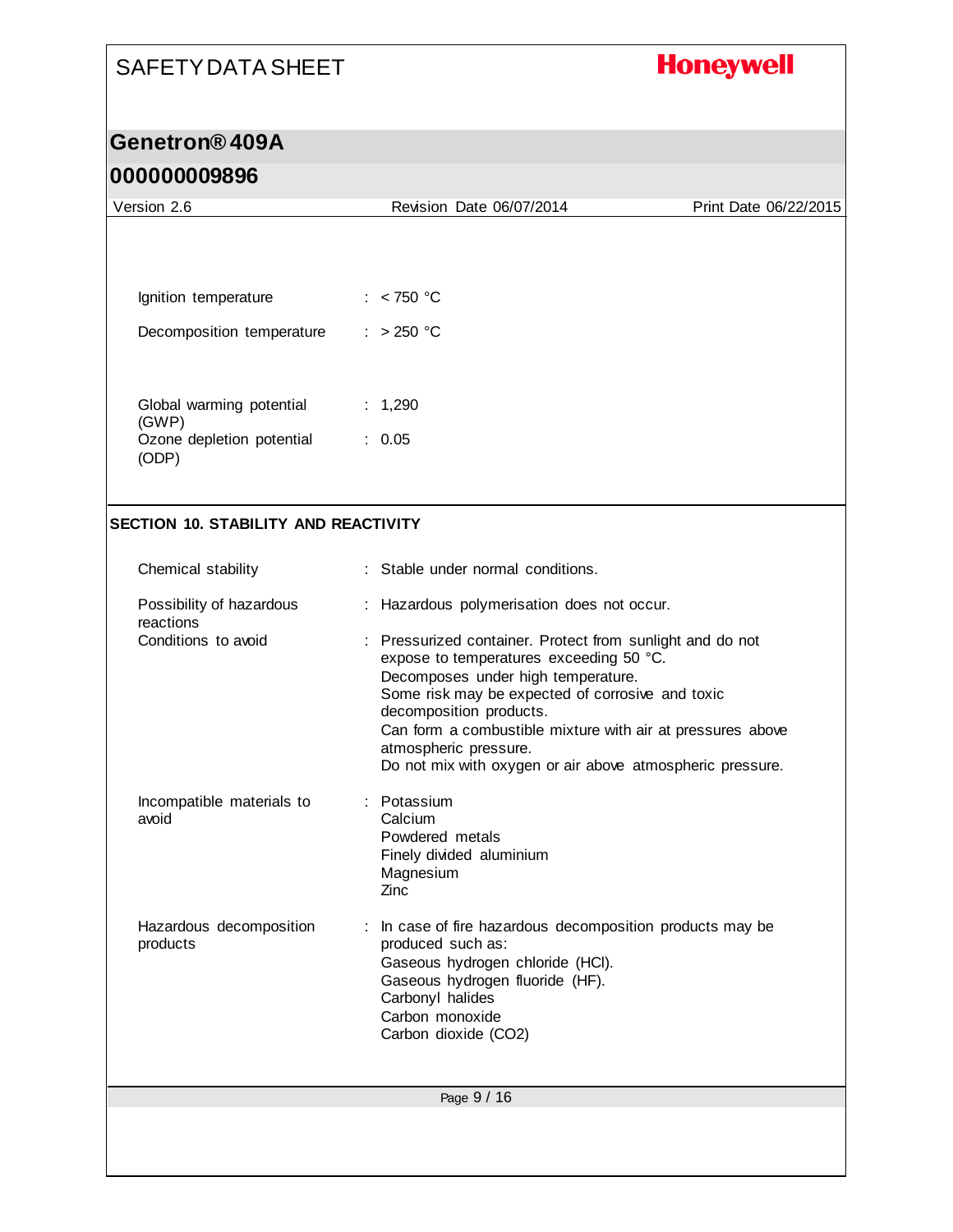# **Honeywell**

## **Genetron® 409A**

| Version 2.6                                 | Revision Date 06/07/2014                                                                                                                                                                                                                                                                                                                                                      | Print Date 06/22/2015 |
|---------------------------------------------|-------------------------------------------------------------------------------------------------------------------------------------------------------------------------------------------------------------------------------------------------------------------------------------------------------------------------------------------------------------------------------|-----------------------|
|                                             |                                                                                                                                                                                                                                                                                                                                                                               |                       |
| Ignition temperature                        | : $< 750 °C$                                                                                                                                                                                                                                                                                                                                                                  |                       |
| Decomposition temperature                   | : $>250$ °C                                                                                                                                                                                                                                                                                                                                                                   |                       |
|                                             |                                                                                                                                                                                                                                                                                                                                                                               |                       |
| Global warming potential                    | : 1,290                                                                                                                                                                                                                                                                                                                                                                       |                       |
| (GWP)<br>Ozone depletion potential<br>(ODP) | : 0.05                                                                                                                                                                                                                                                                                                                                                                        |                       |
| <b>SECTION 10. STABILITY AND REACTIVITY</b> |                                                                                                                                                                                                                                                                                                                                                                               |                       |
| Chemical stability                          | : Stable under normal conditions.                                                                                                                                                                                                                                                                                                                                             |                       |
| Possibility of hazardous<br>reactions       | : Hazardous polymerisation does not occur.                                                                                                                                                                                                                                                                                                                                    |                       |
| Conditions to avoid                         | : Pressurized container. Protect from sunlight and do not<br>expose to temperatures exceeding 50 °C.<br>Decomposes under high temperature.<br>Some risk may be expected of corrosive and toxic<br>decomposition products.<br>Can form a combustible mixture with air at pressures above<br>atmospheric pressure.<br>Do not mix with oxygen or air above atmospheric pressure. |                       |
| Incompatible materials to<br>avoid          | : Potassium<br>Calcium<br>Powdered metals<br>Finely divided aluminium<br>Magnesium<br>Zinc                                                                                                                                                                                                                                                                                    |                       |
| Hazardous decomposition<br>products         | In case of fire hazardous decomposition products may be<br>produced such as:<br>Gaseous hydrogen chloride (HCI).<br>Gaseous hydrogen fluoride (HF).<br>Carbonyl halides<br>Carbon monoxide<br>Carbon dioxide (CO2)                                                                                                                                                            |                       |
|                                             | Page 9 / 16                                                                                                                                                                                                                                                                                                                                                                   |                       |
|                                             |                                                                                                                                                                                                                                                                                                                                                                               |                       |
|                                             |                                                                                                                                                                                                                                                                                                                                                                               |                       |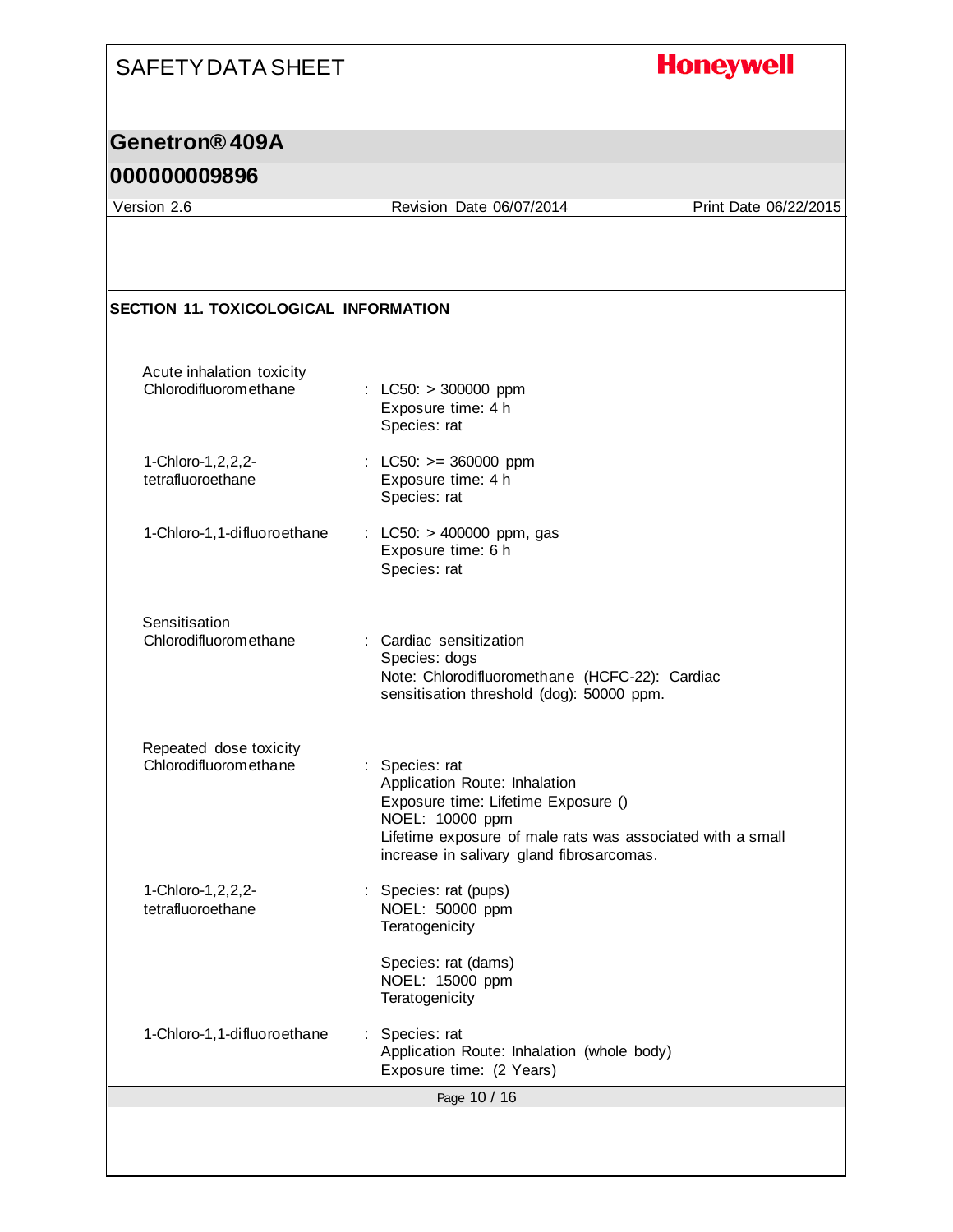### **Honeywell**

### **Genetron® 409A**

#### **000000009896**

Version 2.6 Revision Date 06/07/2014 Print Date 06/22/2015

Page 10 / 16 **SECTION 11. TOXICOLOGICAL INFORMATION** Acute inhalation toxicity<br>Chlorodifluoromethane  $\therefore$  LC50: > 300000 ppm Exposure time: 4 h Species: rat 1-Chloro-1,2,2,2 tetrafluoroethane : LC50: >= 360000 ppm Exposure time: 4 h Species: rat 1-Chloro-1,1-difluoroethane : LC50: > 400000 ppm, gas Exposure time: 6 h Species: rat **Sensitisation** Chlorodifluoromethane : Cardiac sensitization Species: dogs Note: Chlorodifluoromethane (HCFC-22): Cardiac sensitisation threshold (dog): 50000 ppm. Repeated dose toxicity Chlorodifluoromethane : Species: rat Application Route: Inhalation Exposure time: Lifetime Exposure () NOEL: 10000 ppm Lifetime exposure of male rats was associated with a small increase in salivary gland fibrosarcomas. 1-Chloro-1,2,2,2 tetrafluoroethane : Species: rat (pups) NOEL: 50000 ppm **Teratogenicity** Species: rat (dams) NOEL: 15000 ppm **Teratogenicity** 1-Chloro-1,1-difluoroethane : Species: rat Application Route: Inhalation (whole body) Exposure time: (2 Years)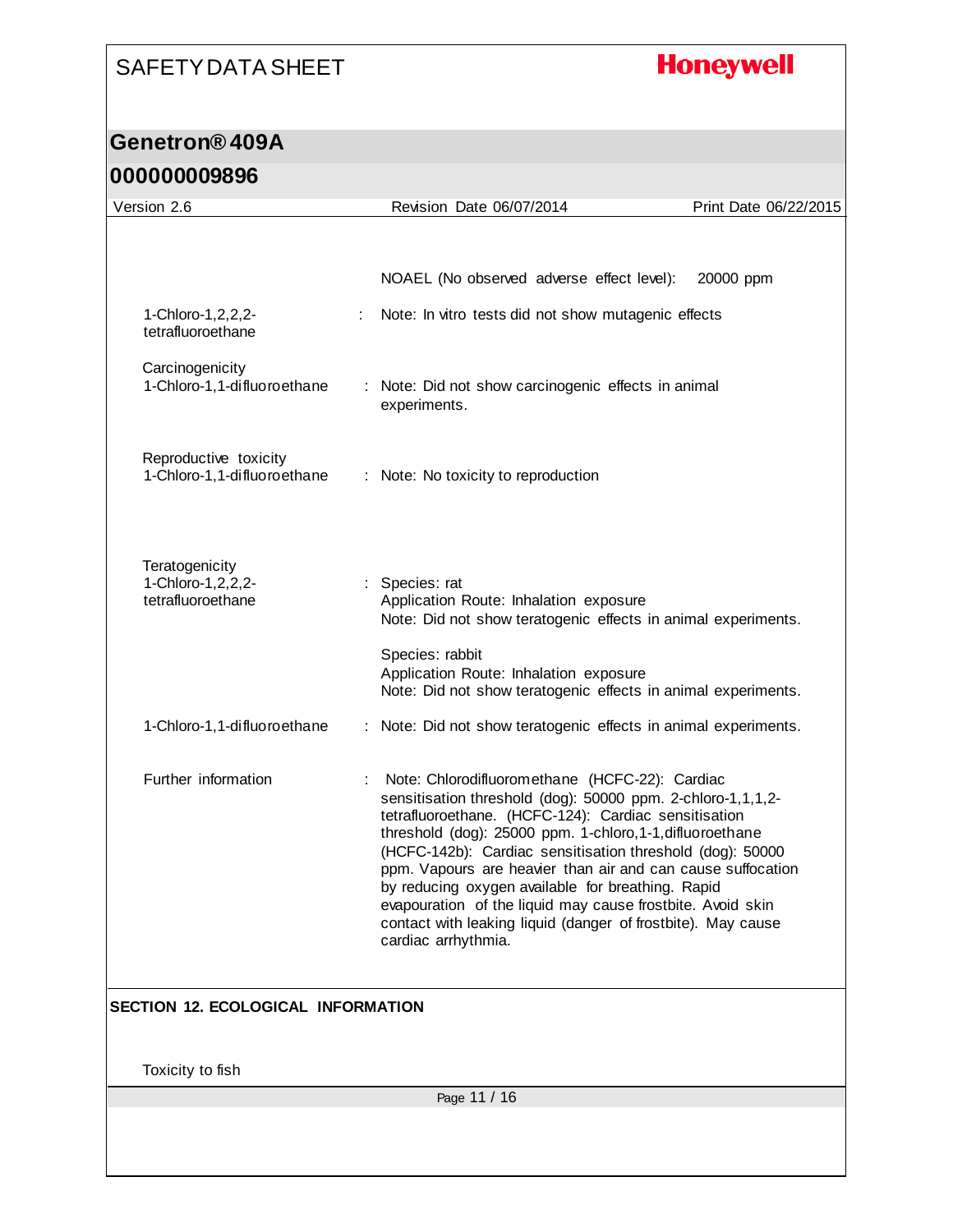# **Honeywell**

### **Genetron® 409A 000000009896**

| <u>UUUUUUUUUUU</u>                                          |    |                                                                                                                                                                                                                                                                                                                                                                                                                                                                                                                                                                          |                       |
|-------------------------------------------------------------|----|--------------------------------------------------------------------------------------------------------------------------------------------------------------------------------------------------------------------------------------------------------------------------------------------------------------------------------------------------------------------------------------------------------------------------------------------------------------------------------------------------------------------------------------------------------------------------|-----------------------|
| Version 2.6                                                 |    | Revision Date 06/07/2014                                                                                                                                                                                                                                                                                                                                                                                                                                                                                                                                                 | Print Date 06/22/2015 |
|                                                             |    |                                                                                                                                                                                                                                                                                                                                                                                                                                                                                                                                                                          |                       |
|                                                             |    |                                                                                                                                                                                                                                                                                                                                                                                                                                                                                                                                                                          |                       |
|                                                             |    | NOAEL (No observed adverse effect level):                                                                                                                                                                                                                                                                                                                                                                                                                                                                                                                                | 20000 ppm             |
| 1-Chloro-1, 2, 2, 2-<br>tetrafluoroethane                   |    | Note: In vitro tests did not show mutagenic effects                                                                                                                                                                                                                                                                                                                                                                                                                                                                                                                      |                       |
| Carcinogenicity<br>1-Chloro-1,1-difluoroethane              | ÷. | Note: Did not show carcinogenic effects in animal<br>experiments.                                                                                                                                                                                                                                                                                                                                                                                                                                                                                                        |                       |
| Reproductive toxicity<br>1-Chloro-1,1-difluoroethane        |    | : Note: No toxicity to reproduction                                                                                                                                                                                                                                                                                                                                                                                                                                                                                                                                      |                       |
| Teratogenicity<br>1-Chloro-1, 2, 2, 2-<br>tetrafluoroethane |    | Species: rat<br>Application Route: Inhalation exposure<br>Note: Did not show teratogenic effects in animal experiments.                                                                                                                                                                                                                                                                                                                                                                                                                                                  |                       |
|                                                             |    | Species: rabbit<br>Application Route: Inhalation exposure<br>Note: Did not show teratogenic effects in animal experiments.                                                                                                                                                                                                                                                                                                                                                                                                                                               |                       |
| 1-Chloro-1,1-difluoroethane                                 |    | : Note: Did not show teratogenic effects in animal experiments.                                                                                                                                                                                                                                                                                                                                                                                                                                                                                                          |                       |
| Further information                                         |    | Note: Chlorodifluoromethane (HCFC-22): Cardiac<br>sensitisation threshold (dog): 50000 ppm. 2-chloro-1,1,1,2-<br>tetrafluoroethane. (HCFC-124): Cardiac sensitisation<br>threshold (dog): 25000 ppm. 1-chloro, 1-1, difluoroethane<br>(HCFC-142b): Cardiac sensitisation threshold (dog): 50000<br>ppm. Vapours are heavier than air and can cause suffocation<br>by reducing oxygen available for breathing. Rapid<br>evapouration of the liquid may cause frostbite. Avoid skin<br>contact with leaking liquid (danger of frostbite). May cause<br>cardiac arrhythmia. |                       |
| SECTION 12. ECOLOGICAL INFORMATION                          |    |                                                                                                                                                                                                                                                                                                                                                                                                                                                                                                                                                                          |                       |
|                                                             |    |                                                                                                                                                                                                                                                                                                                                                                                                                                                                                                                                                                          |                       |
| Toxicity to fish                                            |    |                                                                                                                                                                                                                                                                                                                                                                                                                                                                                                                                                                          |                       |
|                                                             |    | Page 11 / 16                                                                                                                                                                                                                                                                                                                                                                                                                                                                                                                                                             |                       |
|                                                             |    |                                                                                                                                                                                                                                                                                                                                                                                                                                                                                                                                                                          |                       |
|                                                             |    |                                                                                                                                                                                                                                                                                                                                                                                                                                                                                                                                                                          |                       |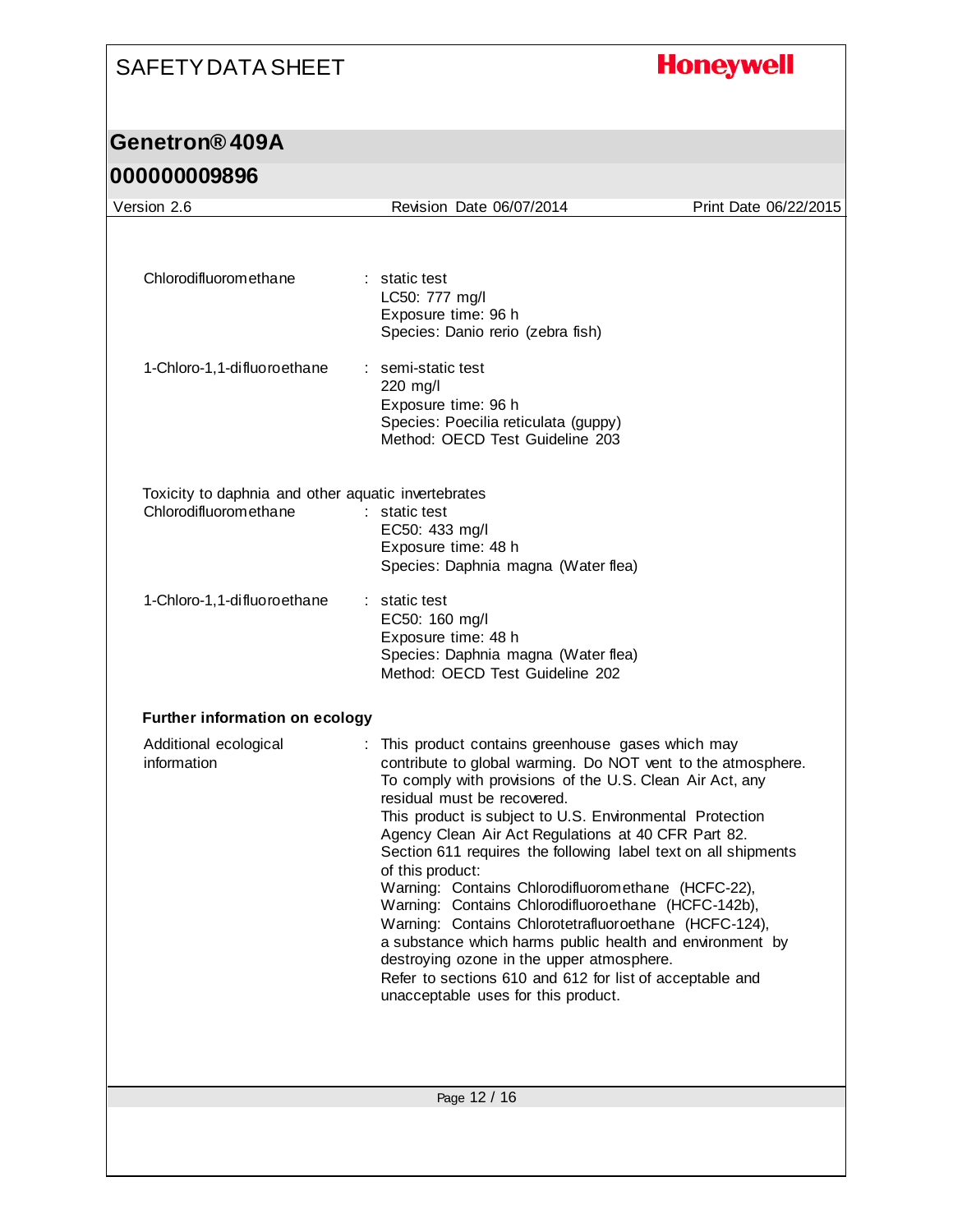# **Honeywell**

## **Genetron® 409A**

| Version 2.6                                                                  | Revision Date 06/07/2014                                                                                                                                                                                                                                                                                                                                                                                                                                                                                                                                                                                                                                                                                                                                                                                 | Print Date 06/22/2015 |
|------------------------------------------------------------------------------|----------------------------------------------------------------------------------------------------------------------------------------------------------------------------------------------------------------------------------------------------------------------------------------------------------------------------------------------------------------------------------------------------------------------------------------------------------------------------------------------------------------------------------------------------------------------------------------------------------------------------------------------------------------------------------------------------------------------------------------------------------------------------------------------------------|-----------------------|
|                                                                              |                                                                                                                                                                                                                                                                                                                                                                                                                                                                                                                                                                                                                                                                                                                                                                                                          |                       |
| Chlorodifluoromethane                                                        | : static test<br>LC50: 777 mg/l<br>Exposure time: 96 h<br>Species: Danio rerio (zebra fish)                                                                                                                                                                                                                                                                                                                                                                                                                                                                                                                                                                                                                                                                                                              |                       |
| 1-Chloro-1, 1-difluoroethane                                                 | : semi-static test<br>220 mg/l<br>Exposure time: 96 h<br>Species: Poecilia reticulata (guppy)<br>Method: OECD Test Guideline 203                                                                                                                                                                                                                                                                                                                                                                                                                                                                                                                                                                                                                                                                         |                       |
| Toxicity to daphnia and other aquatic invertebrates<br>Chlorodifluoromethane | : static test<br>EC50: 433 mg/l<br>Exposure time: 48 h<br>Species: Daphnia magna (Water flea)                                                                                                                                                                                                                                                                                                                                                                                                                                                                                                                                                                                                                                                                                                            |                       |
| 1-Chloro-1,1-difluoroethane                                                  | : static test<br>EC50: 160 mg/l<br>Exposure time: 48 h<br>Species: Daphnia magna (Water flea)<br>Method: OECD Test Guideline 202                                                                                                                                                                                                                                                                                                                                                                                                                                                                                                                                                                                                                                                                         |                       |
| <b>Further information on ecology</b>                                        |                                                                                                                                                                                                                                                                                                                                                                                                                                                                                                                                                                                                                                                                                                                                                                                                          |                       |
| Additional ecological<br>information                                         | : This product contains greenhouse gases which may<br>contribute to global warming. Do NOT vent to the atmosphere.<br>To comply with provisions of the U.S. Clean Air Act, any<br>residual must be recovered.<br>This product is subject to U.S. Environmental Protection<br>Agency Clean Air Act Regulations at 40 CFR Part 82.<br>Section 611 requires the following label text on all shipments<br>of this product:<br>Warning: Contains Chlorodifluoromethane (HCFC-22),<br>Warning: Contains Chlorodifluoroethane (HCFC-142b),<br>Warning: Contains Chlorotetrafluoroethane (HCFC-124),<br>a substance which harms public health and environment by<br>destroying ozone in the upper atmosphere.<br>Refer to sections 610 and 612 for list of acceptable and<br>unacceptable uses for this product. |                       |
|                                                                              |                                                                                                                                                                                                                                                                                                                                                                                                                                                                                                                                                                                                                                                                                                                                                                                                          |                       |
|                                                                              | Page 12 / 16                                                                                                                                                                                                                                                                                                                                                                                                                                                                                                                                                                                                                                                                                                                                                                                             |                       |
|                                                                              |                                                                                                                                                                                                                                                                                                                                                                                                                                                                                                                                                                                                                                                                                                                                                                                                          |                       |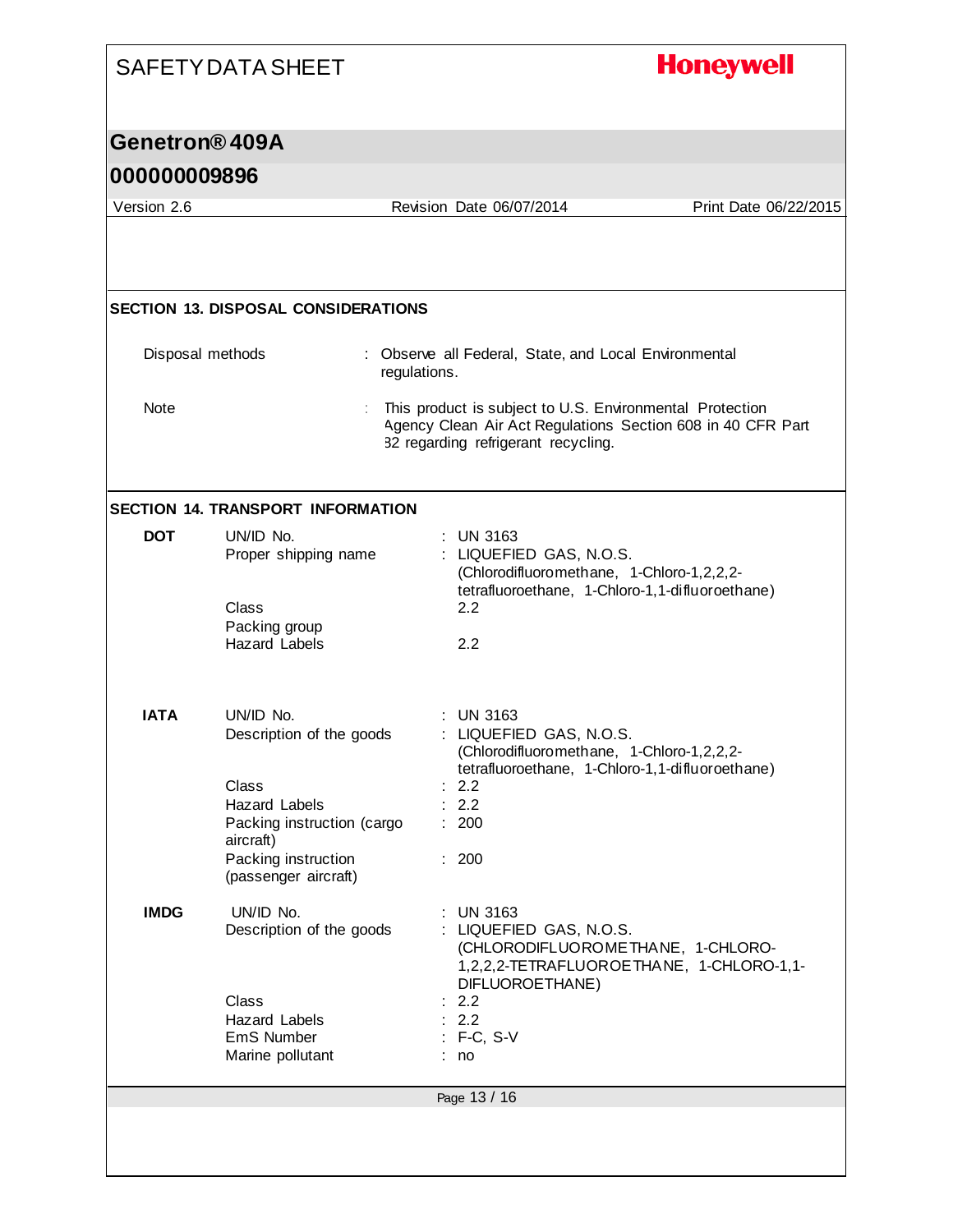|                            | SAFETY DATA SHEET                                                                                                                                                | <b>Honeywell</b>                                                                                                                                                                    |                       |
|----------------------------|------------------------------------------------------------------------------------------------------------------------------------------------------------------|-------------------------------------------------------------------------------------------------------------------------------------------------------------------------------------|-----------------------|
| Genetron <sup>®</sup> 409A |                                                                                                                                                                  |                                                                                                                                                                                     |                       |
| 000000009896               |                                                                                                                                                                  |                                                                                                                                                                                     |                       |
| Version 2.6                |                                                                                                                                                                  | Revision Date 06/07/2014                                                                                                                                                            | Print Date 06/22/2015 |
|                            |                                                                                                                                                                  |                                                                                                                                                                                     |                       |
|                            | <b>SECTION 13. DISPOSAL CONSIDERATIONS</b>                                                                                                                       |                                                                                                                                                                                     |                       |
| Disposal methods           |                                                                                                                                                                  | : Observe all Federal, State, and Local Environmental<br>regulations.                                                                                                               |                       |
| Note                       |                                                                                                                                                                  | This product is subject to U.S. Environmental Protection<br>Agency Clean Air Act Regulations Section 608 in 40 CFR Part<br>82 regarding refrigerant recycling.                      |                       |
|                            | <b>SECTION 14. TRANSPORT INFORMATION</b>                                                                                                                         |                                                                                                                                                                                     |                       |
| <b>DOT</b>                 | UN/ID No.<br>Proper shipping name<br>Class<br>Packing group<br><b>Hazard Labels</b>                                                                              | <b>UN 3163</b><br>: LIQUEFIED GAS, N.O.S.<br>(Chlorodifluoromethane, 1-Chloro-1,2,2,2-<br>tetrafluoroethane, 1-Chloro-1,1-difluoroethane)<br>2.2<br>2.2                             |                       |
| <b>IATA</b>                | UN/ID No.<br>Description of the goods<br>Class<br><b>Hazard Labels</b><br>Packing instruction (cargo<br>aircraft)<br>Packing instruction<br>(passenger aircraft) | <b>UN 3163</b><br>LIQUEFIED GAS, N.O.S.<br>(Chlorodifluoromethane, 1-Chloro-1,2,2,2-<br>tetrafluoroethane, 1-Chloro-1,1-difluoroethane)<br>2.2<br>2.2<br>200<br>: 200               |                       |
| <b>IMDG</b>                | UN/ID No.<br>Description of the goods<br>Class<br>Hazard Labels<br>EmS Number<br>Marine pollutant                                                                | <b>UN 3163</b><br>: LIQUEFIED GAS, N.O.S.<br>(CHLORODIFLUOROMETHANE, 1-CHLORO-<br>1,2,2,2-TETRAFLUOROETHANE, 1-CHLORO-1,1-<br>DIFLUOROETHANE)<br>2.2<br>: 2.2<br>$:$ F-C, S-V<br>no |                       |
|                            |                                                                                                                                                                  | Page 13 / 16                                                                                                                                                                        |                       |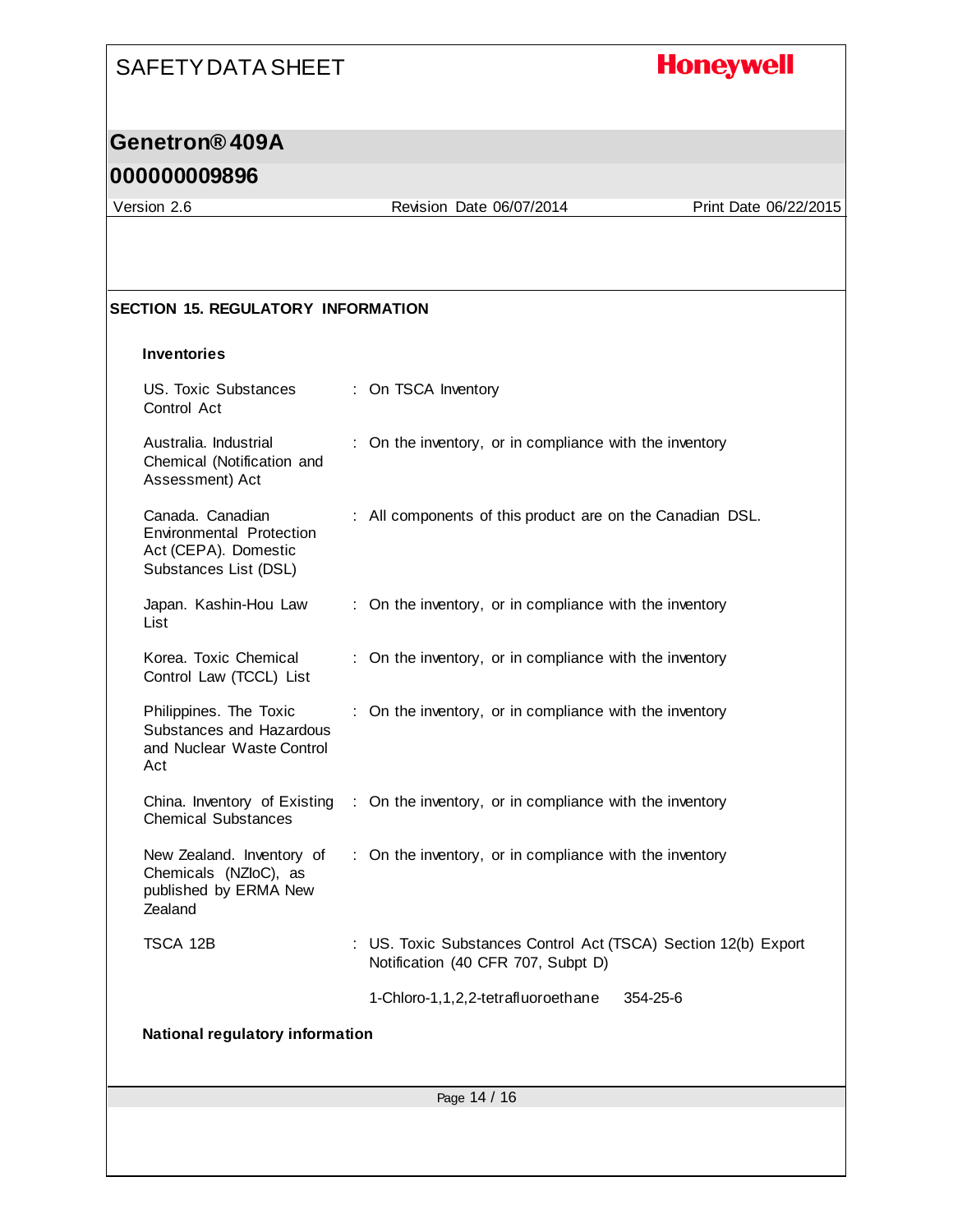## **Honeywell**

### **Genetron® 409A**

#### **000000009896**

Version 2.6 Revision Date 06/07/2014 Print Date 06/22/2015

#### **SECTION 15. REGULATORY INFORMATION**

#### **Inventories**

| <b>US. Toxic Substances</b><br>Control Act                                                           | : On TSCA Inventory                                                                                  |  |  |  |
|------------------------------------------------------------------------------------------------------|------------------------------------------------------------------------------------------------------|--|--|--|
| Australia. Industrial<br>Chemical (Notification and<br>Assessment) Act                               | : On the inventory, or in compliance with the inventory                                              |  |  |  |
| Canada. Canadian<br><b>Environmental Protection</b><br>Act (CEPA). Domestic<br>Substances List (DSL) | : All components of this product are on the Canadian DSL.                                            |  |  |  |
| Japan. Kashin-Hou Law<br>List                                                                        | : On the inventory, or in compliance with the inventory                                              |  |  |  |
| Korea. Toxic Chemical<br>Control Law (TCCL) List                                                     | : On the inventory, or in compliance with the inventory                                              |  |  |  |
| Philippines. The Toxic<br>Substances and Hazardous<br>and Nuclear Waste Control<br>Act               | : On the inventory, or in compliance with the inventory                                              |  |  |  |
| China. Inventory of Existing<br><b>Chemical Substances</b>                                           | : On the inventory, or in compliance with the inventory                                              |  |  |  |
| New Zealand. Inventory of<br>Chemicals (NZloC), as<br>published by ERMA New<br>Zealand               | : On the inventory, or in compliance with the inventory                                              |  |  |  |
| TSCA 12B                                                                                             | : US. Toxic Substances Control Act (TSCA) Section 12(b) Export<br>Notification (40 CFR 707, Subpt D) |  |  |  |
|                                                                                                      | 1-Chloro-1,1,2,2-tetrafluoroethane<br>354-25-6                                                       |  |  |  |
| National regulatory information                                                                      |                                                                                                      |  |  |  |
|                                                                                                      |                                                                                                      |  |  |  |
| Page 14 / 16                                                                                         |                                                                                                      |  |  |  |
|                                                                                                      |                                                                                                      |  |  |  |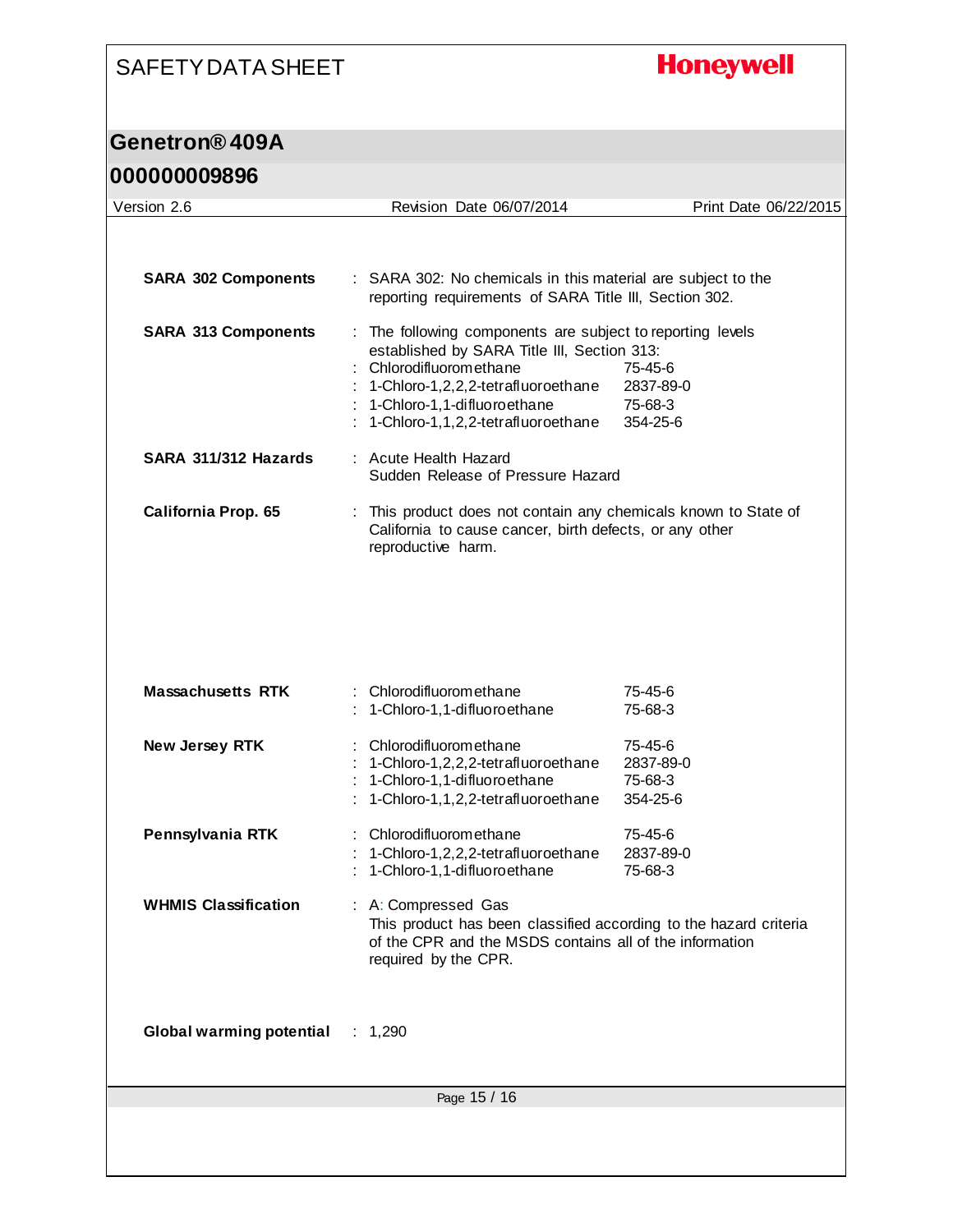# **Honeywell**

## **Genetron® 409A**

| Version 2.6                      | Revision Date 06/07/2014                                                                                                                                                                                                                      | Print Date 06/22/2015                       |  |  |
|----------------------------------|-----------------------------------------------------------------------------------------------------------------------------------------------------------------------------------------------------------------------------------------------|---------------------------------------------|--|--|
|                                  |                                                                                                                                                                                                                                               |                                             |  |  |
| <b>SARA 302 Components</b>       | : SARA 302: No chemicals in this material are subject to the<br>reporting requirements of SARA Title III, Section 302.                                                                                                                        |                                             |  |  |
| <b>SARA 313 Components</b>       | : The following components are subject to reporting levels<br>established by SARA Title III, Section 313:<br>Chlorodifluoromethane<br>1-Chloro-1,2,2,2-tetrafluoroethane<br>1-Chloro-1,1-difluoroethane<br>1-Chloro-1,1,2,2-tetrafluoroethane | 75-45-6<br>2837-89-0<br>75-68-3<br>354-25-6 |  |  |
| SARA 311/312 Hazards             | : Acute Health Hazard<br>Sudden Release of Pressure Hazard                                                                                                                                                                                    |                                             |  |  |
| <b>California Prop. 65</b>       | This product does not contain any chemicals known to State of<br>t<br>California to cause cancer, birth defects, or any other<br>reproductive harm.                                                                                           |                                             |  |  |
|                                  |                                                                                                                                                                                                                                               |                                             |  |  |
| <b>Massachusetts RTK</b>         | : Chlorodifluoromethane<br>1-Chloro-1,1-difluoroethane                                                                                                                                                                                        | 75-45-6<br>75-68-3                          |  |  |
| New Jersey RTK                   | Chlorodifluoromethane<br>1-Chloro-1,2,2,2-tetrafluoroethane<br>1-Chloro-1,1-difluoroethane<br>1-Chloro-1,1,2,2-tetrafluoroethane                                                                                                              | 75-45-6<br>2837-89-0<br>75-68-3<br>354-25-6 |  |  |
| Pennsylvania RTK                 | Chlorodifluoromethane<br>1-Chloro-1,2,2,2-tetrafluoroethane<br>1-Chloro-1,1-difluoroethane                                                                                                                                                    | 75-45-6<br>2837-89-0<br>75-68-3             |  |  |
| <b>WHMIS Classification</b>      | : A: Compressed Gas<br>This product has been classified according to the hazard criteria<br>of the CPR and the MSDS contains all of the information<br>required by the CPR.                                                                   |                                             |  |  |
| Global warming potential : 1,290 |                                                                                                                                                                                                                                               |                                             |  |  |
| Page 15 / 16                     |                                                                                                                                                                                                                                               |                                             |  |  |
|                                  |                                                                                                                                                                                                                                               |                                             |  |  |